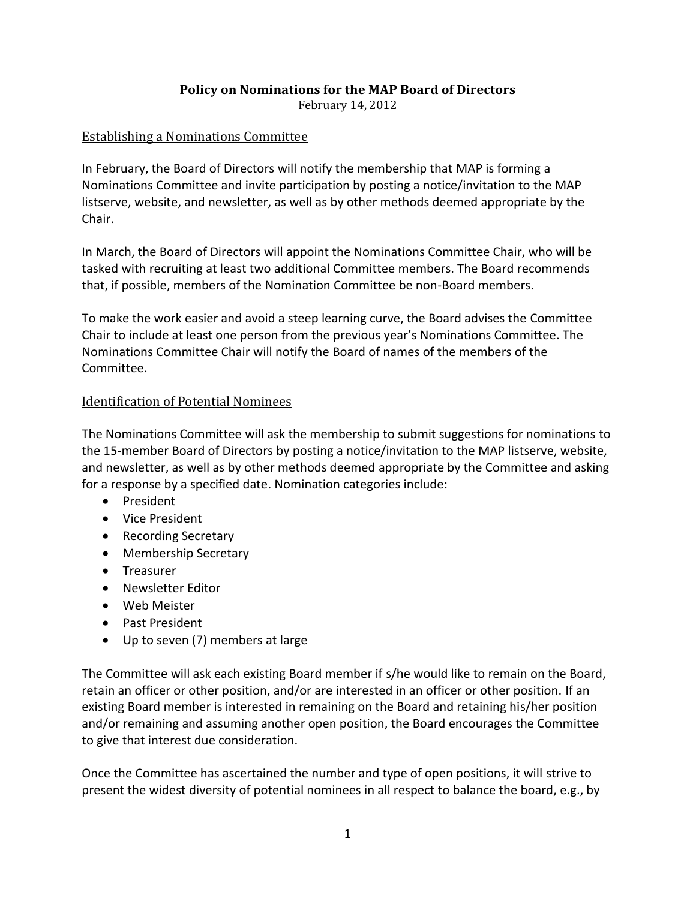## **Policy on Nominations for the MAP Board of Directors**

February 14, 2012

### Establishing a Nominations Committee

In February, the Board of Directors will notify the membership that MAP is forming a Nominations Committee and invite participation by posting a notice/invitation to the MAP listserve, website, and newsletter, as well as by other methods deemed appropriate by the Chair.

In March, the Board of Directors will appoint the Nominations Committee Chair, who will be tasked with recruiting at least two additional Committee members. The Board recommends that, if possible, members of the Nomination Committee be non-Board members.

To make the work easier and avoid a steep learning curve, the Board advises the Committee Chair to include at least one person from the previous year's Nominations Committee. The Nominations Committee Chair will notify the Board of names of the members of the Committee.

#### Identification of Potential Nominees

The Nominations Committee will ask the membership to submit suggestions for nominations to the 15-member Board of Directors by posting a notice/invitation to the MAP listserve, website, and newsletter, as well as by other methods deemed appropriate by the Committee and asking for a response by a specified date. Nomination categories include:

- President
- Vice President
- Recording Secretary
- Membership Secretary
- Treasurer
- Newsletter Editor
- Web Meister
- Past President
- Up to seven (7) members at large

The Committee will ask each existing Board member if s/he would like to remain on the Board, retain an officer or other position, and/or are interested in an officer or other position. If an existing Board member is interested in remaining on the Board and retaining his/her position and/or remaining and assuming another open position, the Board encourages the Committee to give that interest due consideration.

Once the Committee has ascertained the number and type of open positions, it will strive to present the widest diversity of potential nominees in all respect to balance the board, e.g., by